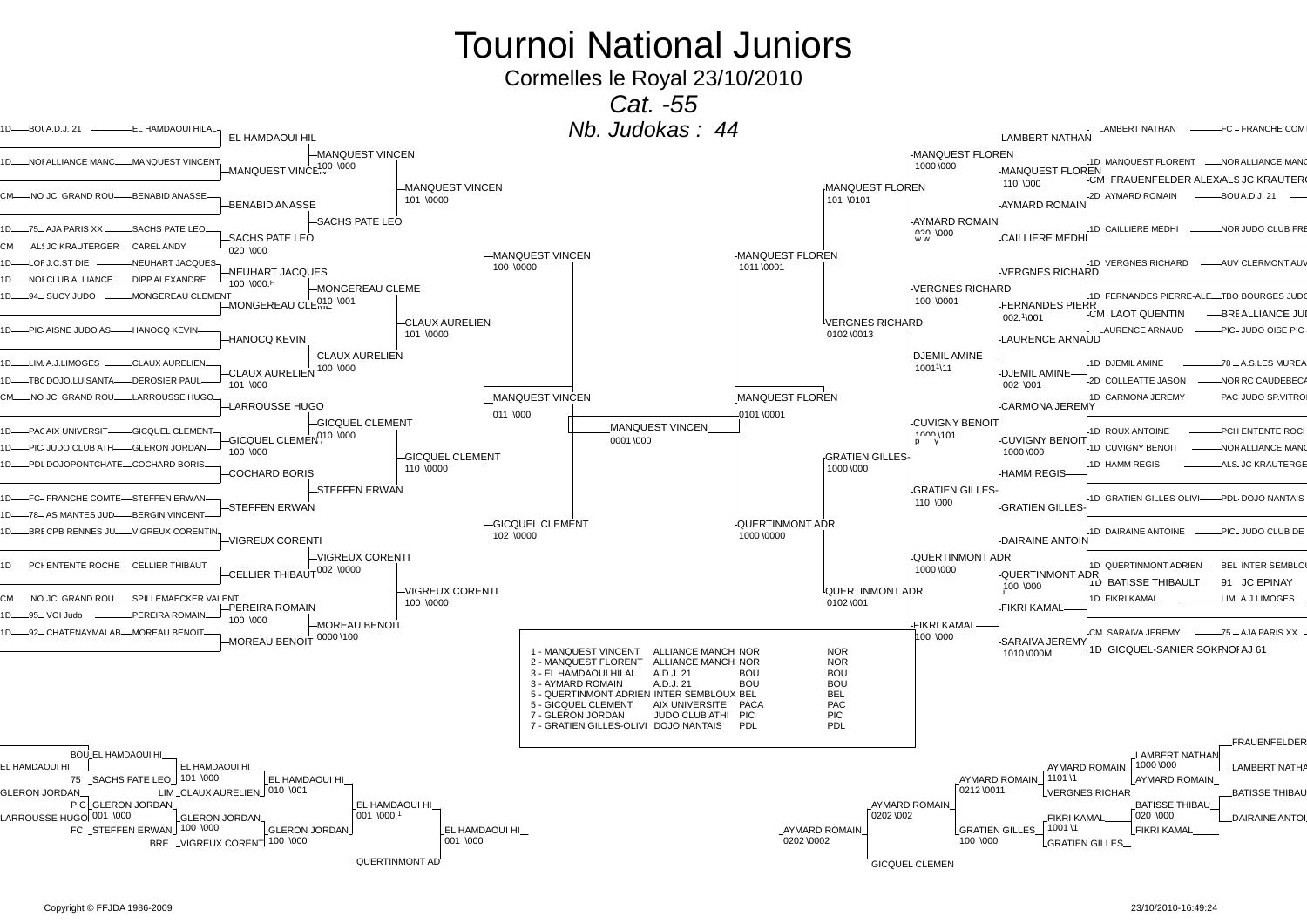Cormelles le Royal 23/10/2010

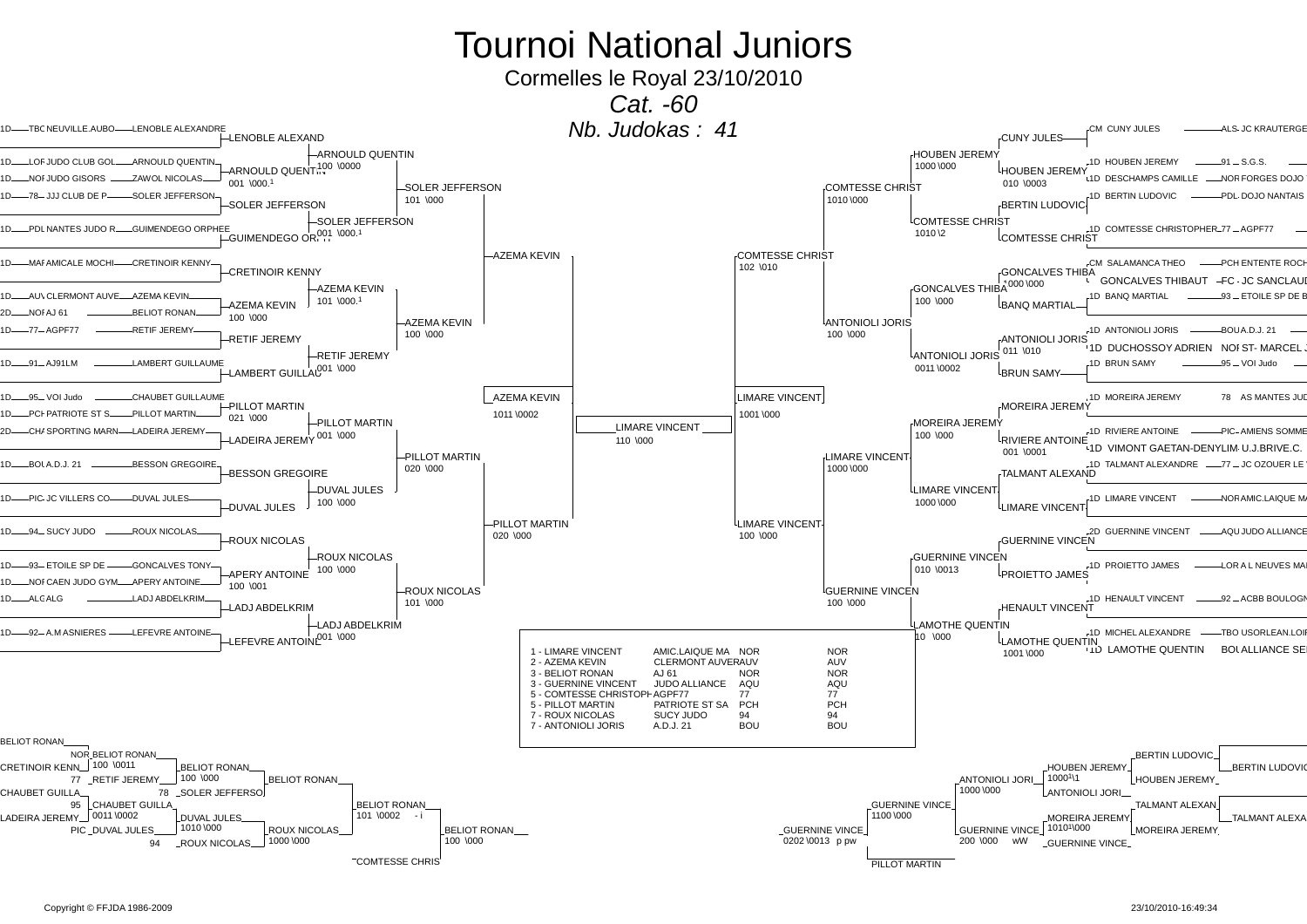Cormelles le Royal 23/10/2010

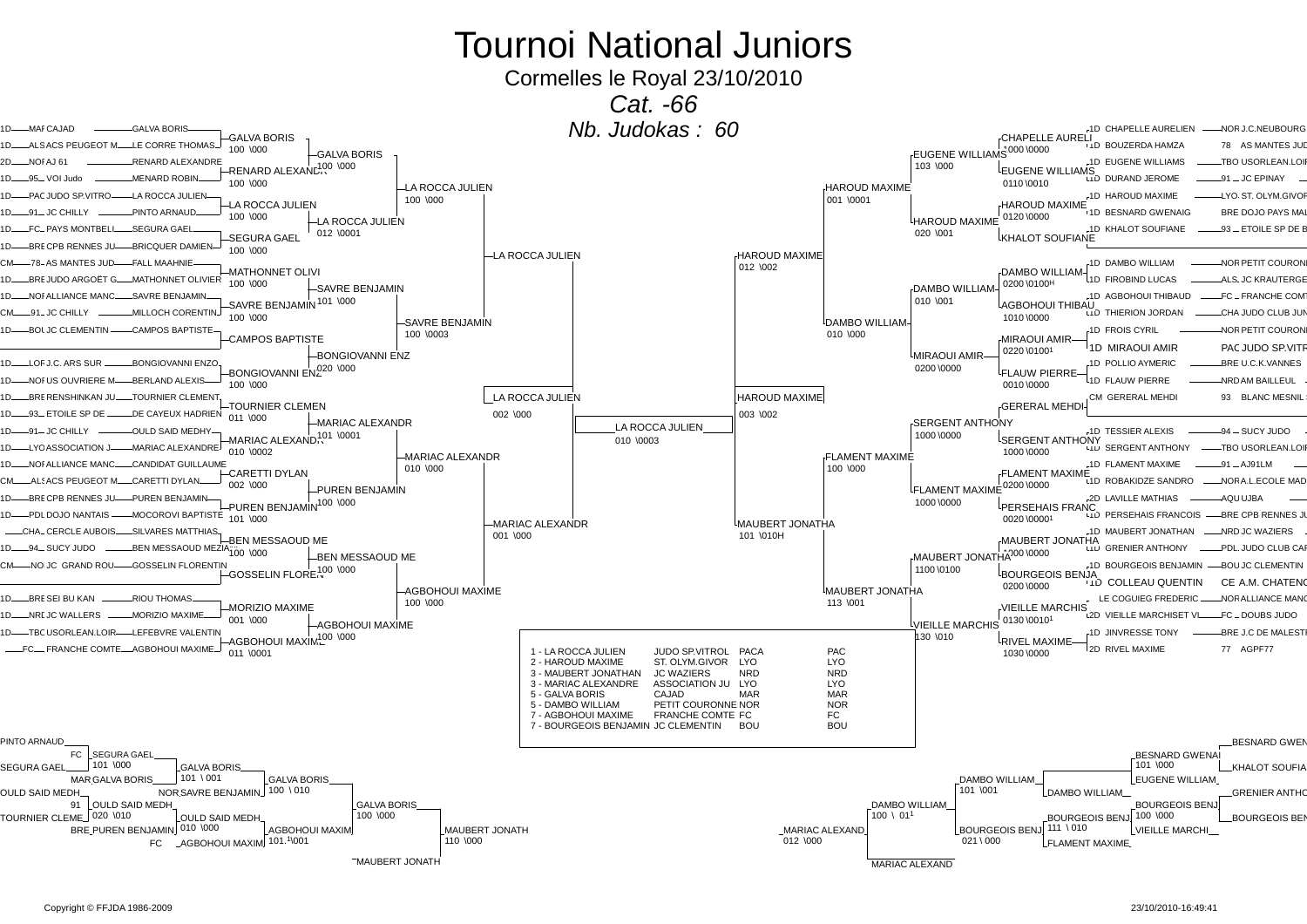Cormelles le Royal 23/10/2010



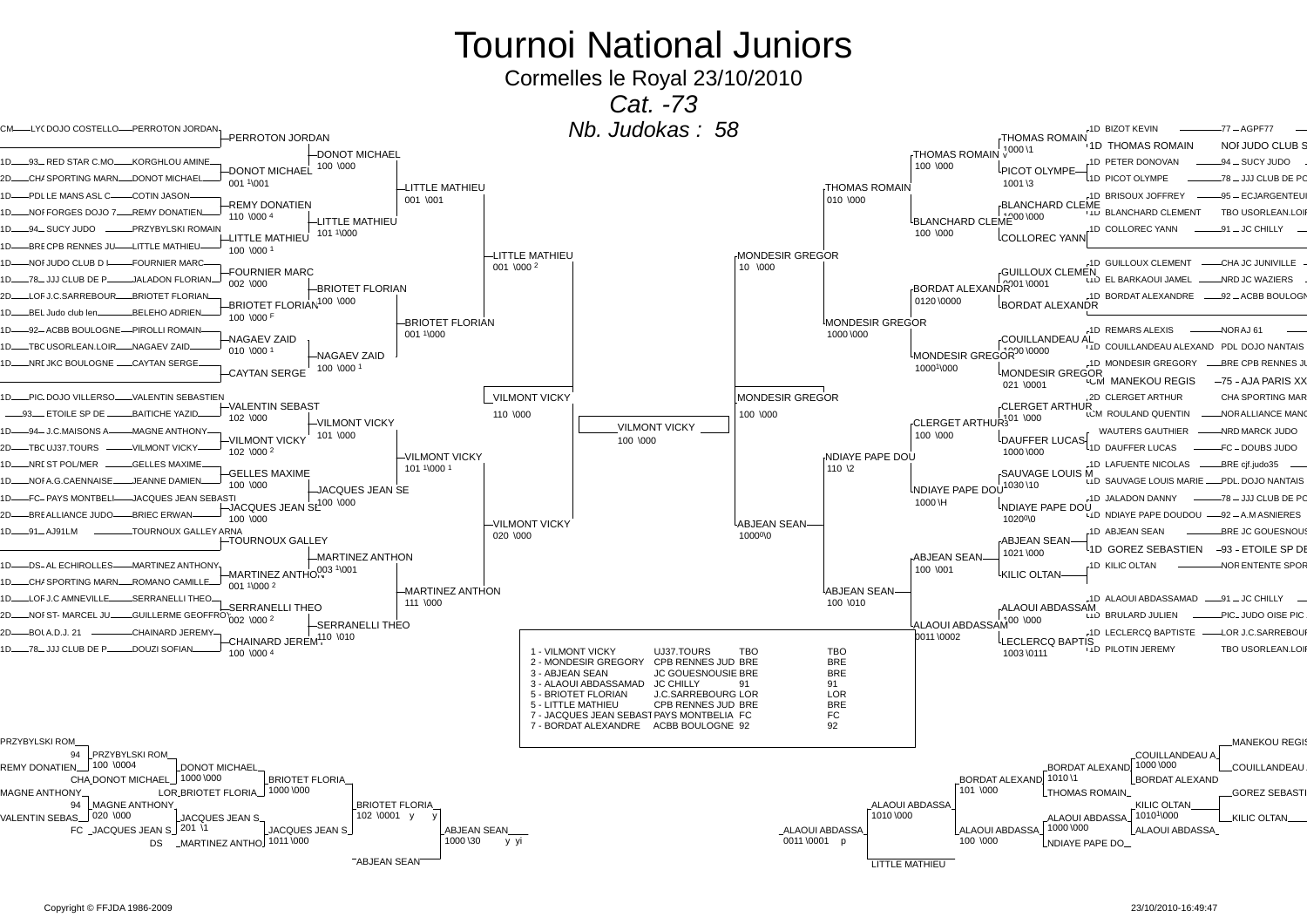Cormelles le Royal 23/10/2010

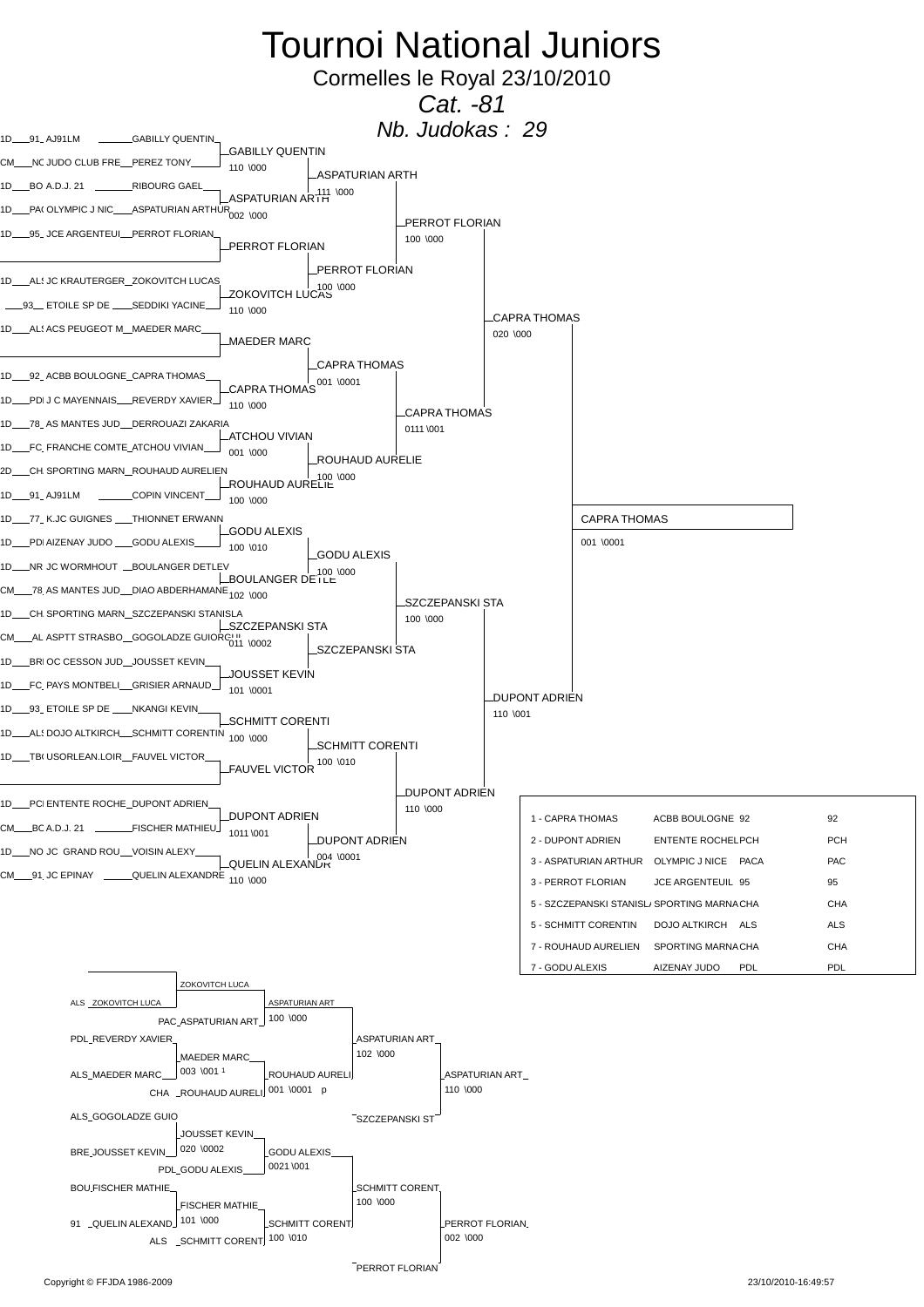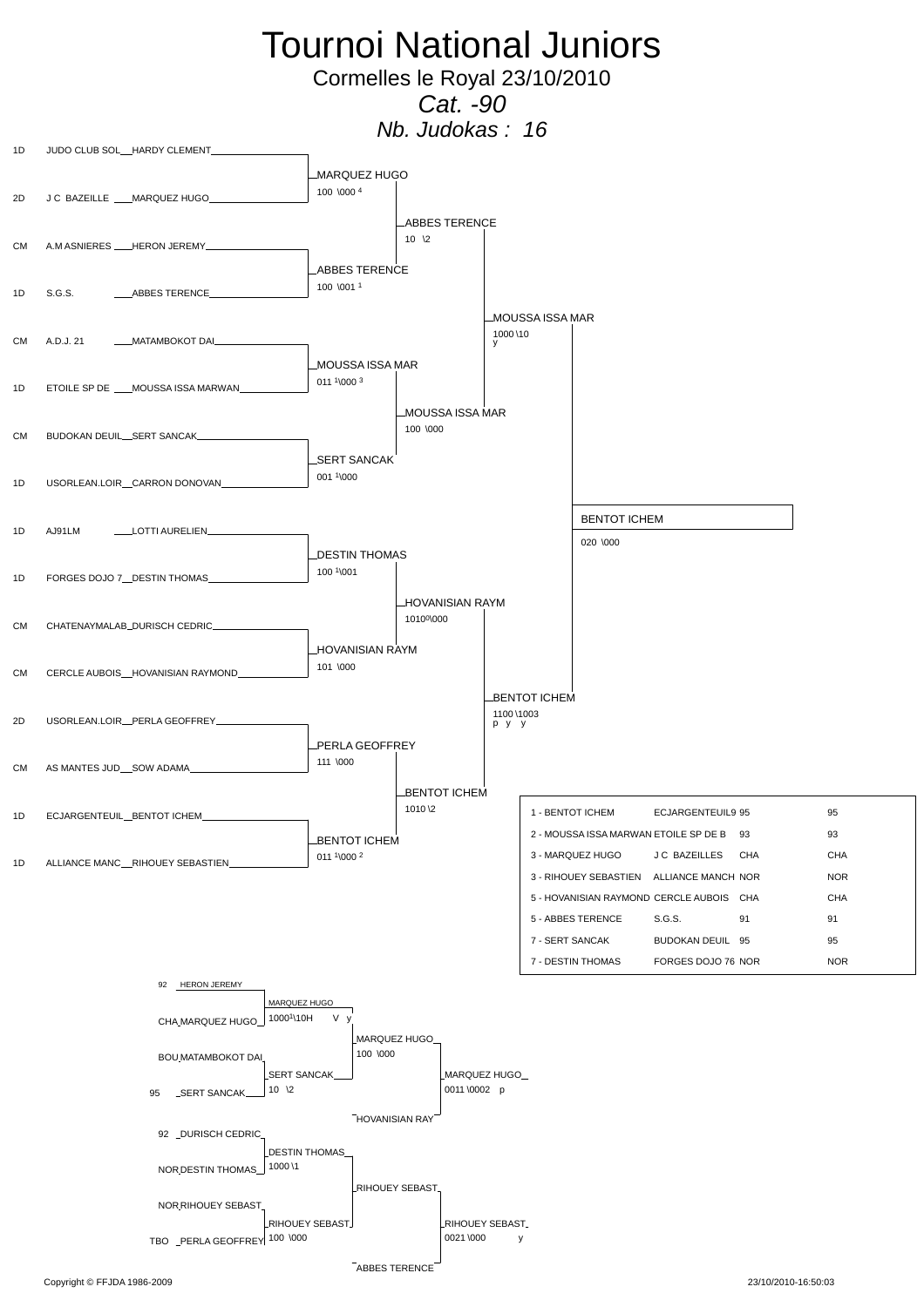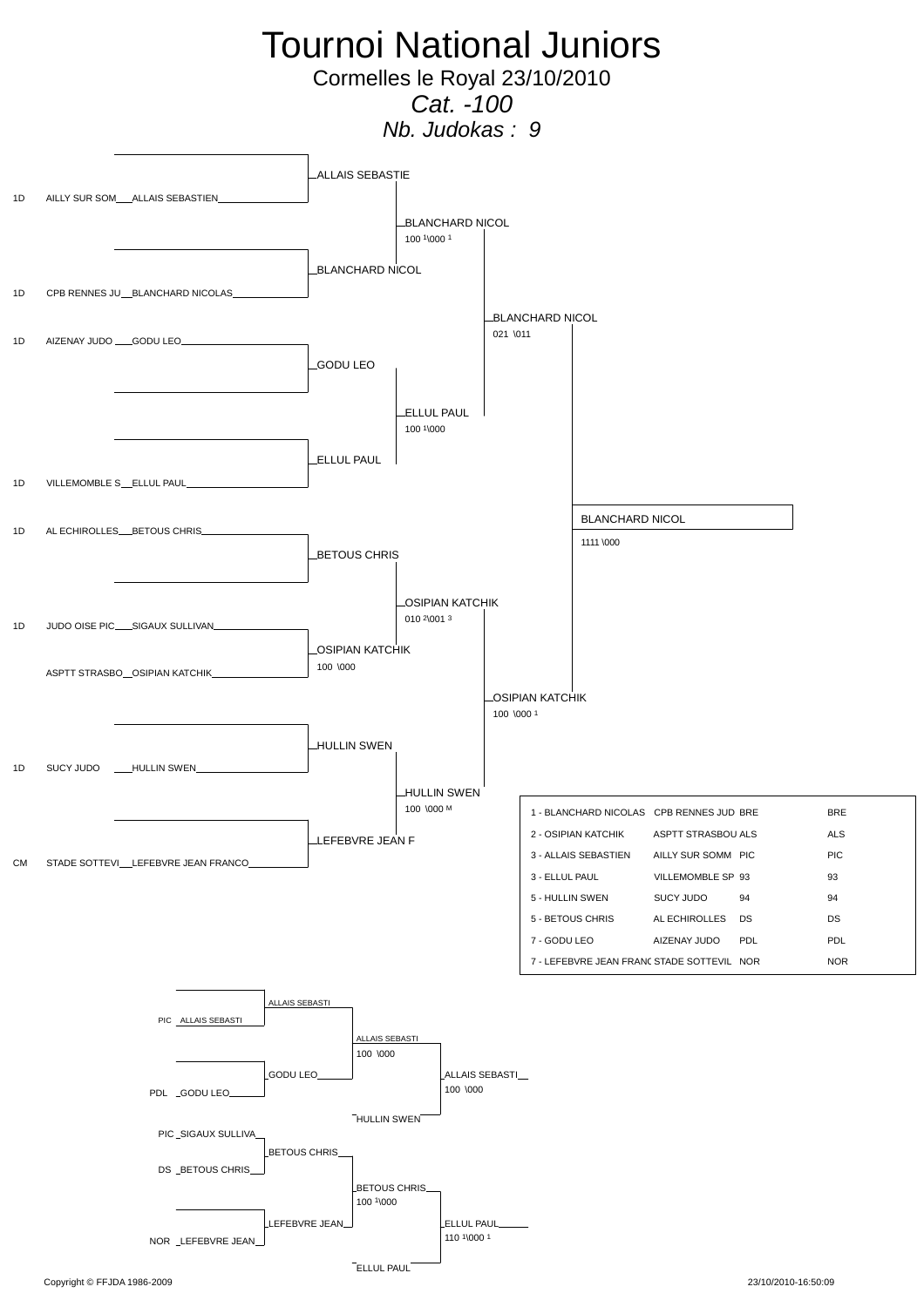